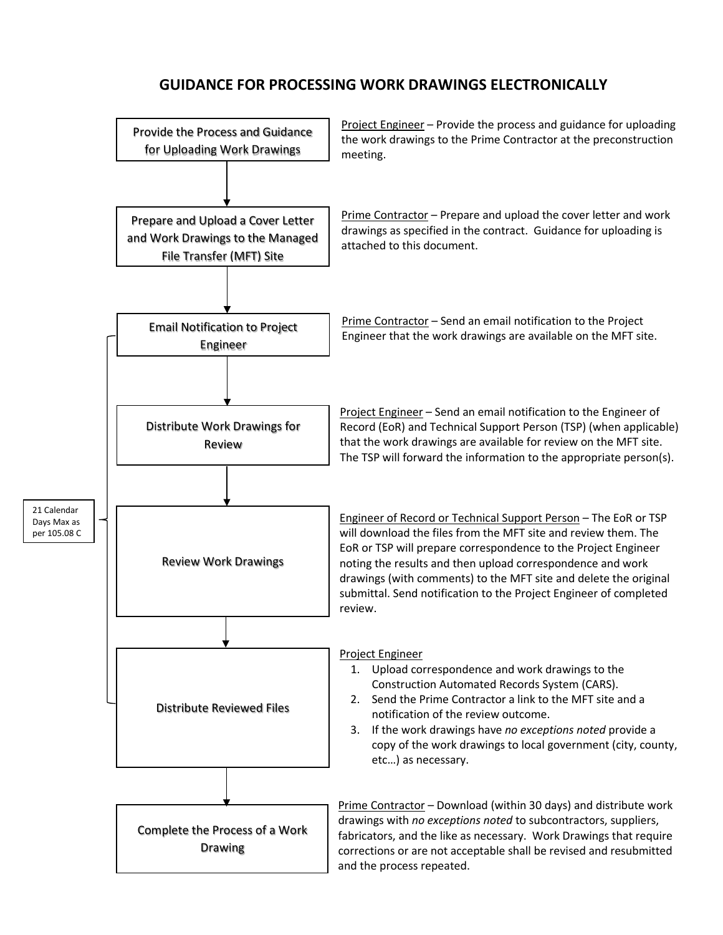## **GUIDANCE FOR PROCESSING WORK DRAWINGS ELECTRONICALLY**